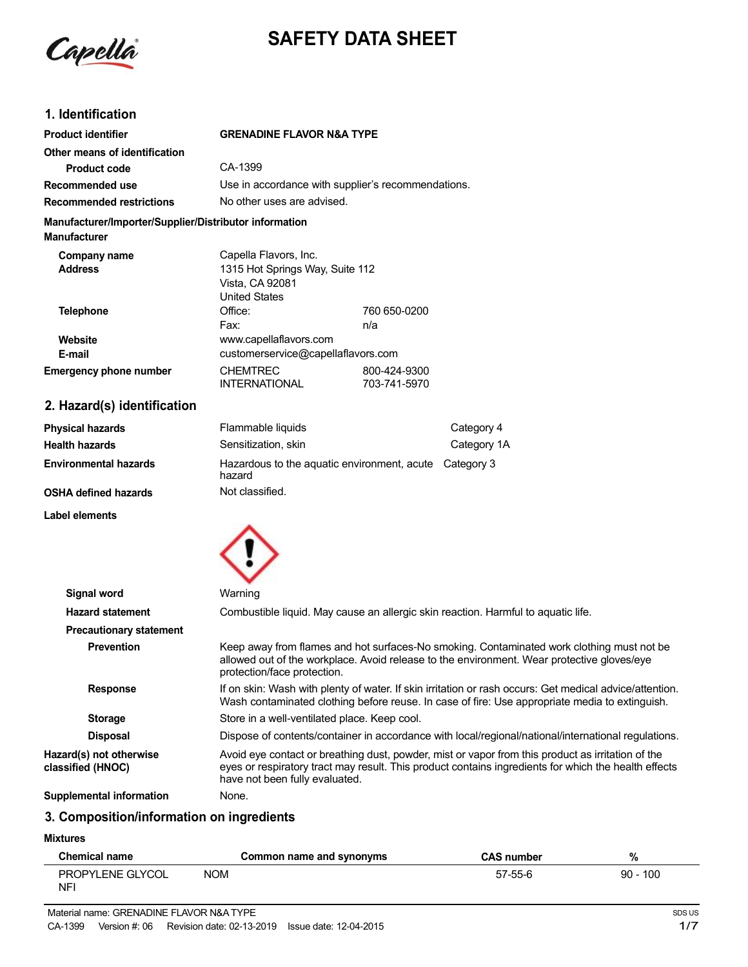

# **SAFETY DATA SHEET**

# **1. Identification**

| <b>Product identifier</b>                                                     | <b>GRENADINE FLAVOR N&amp;A TYPE</b>                                       |                                                    |
|-------------------------------------------------------------------------------|----------------------------------------------------------------------------|----------------------------------------------------|
| Other means of identification                                                 |                                                                            |                                                    |
| <b>Product code</b>                                                           | CA-1399                                                                    |                                                    |
| Recommended use                                                               |                                                                            | Use in accordance with supplier's recommendations. |
| <b>Recommended restrictions</b>                                               | No other uses are advised.                                                 |                                                    |
| Manufacturer/Importer/Supplier/Distributor information<br><b>Manufacturer</b> |                                                                            |                                                    |
| Company name                                                                  | Capella Flavors, Inc.                                                      |                                                    |
| <b>Address</b>                                                                | 1315 Hot Springs Way, Suite 112<br>Vista, CA 92081<br><b>United States</b> |                                                    |
| <b>Telephone</b>                                                              | Office:                                                                    | 760 650-0200                                       |
|                                                                               | Fax:                                                                       | n/a                                                |
| Website                                                                       | www.capellaflavors.com                                                     |                                                    |
| E-mail                                                                        | customerservice@capellaflavors.com                                         |                                                    |
| <b>Emergency phone number</b>                                                 | <b>CHEMTREC</b><br><b>INTERNATIONAL</b>                                    | 800-424-9300<br>703-741-5970                       |

# **2. Hazard(s) identification**

| <b>Physical hazards</b>      | Flammable liquids                                                | Category 4  |
|------------------------------|------------------------------------------------------------------|-------------|
| Health hazards               | Sensitization, skin                                              | Category 1A |
| <b>Environmental hazards</b> | Hazardous to the aquatic environment, acute Category 3<br>hazard |             |
| OSHA defined hazards         | Not classified.                                                  |             |

**Label elements**



| Signal word                                  | Warning                                                                                                                                                                                                                                     |  |
|----------------------------------------------|---------------------------------------------------------------------------------------------------------------------------------------------------------------------------------------------------------------------------------------------|--|
| <b>Hazard statement</b>                      | Combustible liquid. May cause an allergic skin reaction. Harmful to aquatic life.                                                                                                                                                           |  |
| <b>Precautionary statement</b>               |                                                                                                                                                                                                                                             |  |
| <b>Prevention</b>                            | Keep away from flames and hot surfaces-No smoking. Contaminated work clothing must not be<br>allowed out of the workplace. Avoid release to the environment. Wear protective gloves/eye<br>protection/face protection.                      |  |
| <b>Response</b>                              | If on skin: Wash with plenty of water. If skin irritation or rash occurs: Get medical advice/attention.<br>Wash contaminated clothing before reuse. In case of fire: Use appropriate media to extinguish.                                   |  |
| <b>Storage</b>                               | Store in a well-ventilated place. Keep cool.                                                                                                                                                                                                |  |
| <b>Disposal</b>                              | Dispose of contents/container in accordance with local/regional/national/international regulations.                                                                                                                                         |  |
| Hazard(s) not otherwise<br>classified (HNOC) | Avoid eye contact or breathing dust, powder, mist or vapor from this product as irritation of the<br>eyes or respiratory tract may result. This product contains ingredients for which the health effects<br>have not been fully evaluated. |  |
|                                              | $\blacksquare$                                                                                                                                                                                                                              |  |

# **Supplemental information** None.

# **3. Composition/information on ingredients**

#### **Mixtures**

| <b>Chemical name</b>           | Common name and synonyms | <b>CAS number</b> | %          |
|--------------------------------|--------------------------|-------------------|------------|
| <b>PROPYLENE GLYCOL</b><br>NF' | <b>NOM</b>               | 57-55-6           | $90 - 100$ |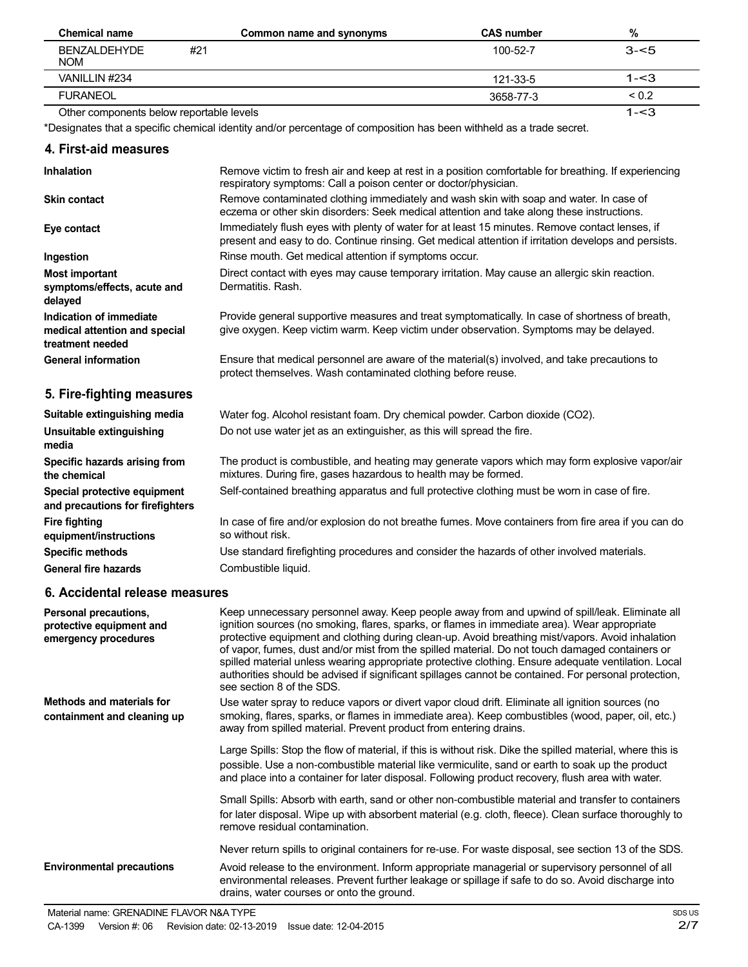| <b>Chemical name</b>                     | Common name and synonyms | <b>CAS number</b> | %          |
|------------------------------------------|--------------------------|-------------------|------------|
| BENZALDEHYDE<br><b>NOM</b>               | #21                      | $100 - 52 - 7$    | $3 - 5$    |
| VANILLIN #234                            |                          | 121-33-5          | 1-<3       |
| <b>FURANEOL</b>                          |                          | 3658-77-3         | ${}_{0.2}$ |
| Other components below reportable levels |                          |                   | $1 - 3$    |

\*Designates that a specific chemical identity and/or percentage of composition has been withheld as a trade secret.

### **4. First-aid measures**

| <b>Inhalation</b>                                                            | Remove victim to fresh air and keep at rest in a position comfortable for breathing. If experiencing<br>respiratory symptoms: Call a poison center or doctor/physician.                                |
|------------------------------------------------------------------------------|--------------------------------------------------------------------------------------------------------------------------------------------------------------------------------------------------------|
| <b>Skin contact</b>                                                          | Remove contaminated clothing immediately and wash skin with soap and water. In case of<br>eczema or other skin disorders: Seek medical attention and take along these instructions.                    |
| Eye contact                                                                  | Immediately flush eyes with plenty of water for at least 15 minutes. Remove contact lenses, if<br>present and easy to do. Continue rinsing. Get medical attention if irritation develops and persists. |
| Ingestion                                                                    | Rinse mouth. Get medical attention if symptoms occur.                                                                                                                                                  |
| <b>Most important</b><br>symptoms/effects, acute and<br>delayed              | Direct contact with eyes may cause temporary irritation. May cause an allergic skin reaction.<br>Dermatitis, Rash.                                                                                     |
| Indication of immediate<br>medical attention and special<br>treatment needed | Provide general supportive measures and treat symptomatically. In case of shortness of breath,<br>give oxygen. Keep victim warm. Keep victim under observation. Symptoms may be delayed.               |
| <b>General information</b>                                                   | Ensure that medical personnel are aware of the material(s) involved, and take precautions to<br>protect themselves. Wash contaminated clothing before reuse.                                           |
| 5. Fire-fighting measures                                                    |                                                                                                                                                                                                        |
| Suitable extinguishing media                                                 | Water fog. Alcohol resistant foam. Dry chemical powder. Carbon dioxide (CO2).                                                                                                                          |
| Unsuitable extinguishing<br>media                                            | Do not use water jet as an extinguisher, as this will spread the fire.                                                                                                                                 |
| Specific hazards arising from<br>the chemical                                | The product is combustible, and heating may generate vapors which may form explosive vapor/air<br>mixtures. During fire, gases hazardous to health may be formed.                                      |
| Special protective equipment<br>and precautions for firefighters             | Self-contained breathing apparatus and full protective clothing must be worn in case of fire.                                                                                                          |
| <b>Fire fighting</b><br>equipment/instructions                               | In case of fire and/or explosion do not breathe fumes. Move containers from fire area if you can do<br>so without risk.                                                                                |
| <b>Specific methods</b>                                                      | Use standard firefighting procedures and consider the hazards of other involved materials.                                                                                                             |
| <b>General fire hazards</b>                                                  | Combustible liquid.                                                                                                                                                                                    |
| 6. Accidental release measures                                               |                                                                                                                                                                                                        |

| Personal precautions,<br>protective equipment and<br>emergency procedures | Keep unnecessary personnel away. Keep people away from and upwind of spill/leak. Eliminate all<br>ignition sources (no smoking, flares, sparks, or flames in immediate area). Wear appropriate<br>protective equipment and clothing during clean-up. Avoid breathing mist/vapors. Avoid inhalation<br>of vapor, fumes, dust and/or mist from the spilled material. Do not touch damaged containers or<br>spilled material unless wearing appropriate protective clothing. Ensure adequate ventilation. Local<br>authorities should be advised if significant spillages cannot be contained. For personal protection,<br>see section 8 of the SDS. |
|---------------------------------------------------------------------------|---------------------------------------------------------------------------------------------------------------------------------------------------------------------------------------------------------------------------------------------------------------------------------------------------------------------------------------------------------------------------------------------------------------------------------------------------------------------------------------------------------------------------------------------------------------------------------------------------------------------------------------------------|
| <b>Methods and materials for</b><br>containment and cleaning up           | Use water spray to reduce vapors or divert vapor cloud drift. Eliminate all ignition sources (no<br>smoking, flares, sparks, or flames in immediate area). Keep combustibles (wood, paper, oil, etc.)<br>away from spilled material. Prevent product from entering drains.                                                                                                                                                                                                                                                                                                                                                                        |
|                                                                           | Large Spills: Stop the flow of material, if this is without risk. Dike the spilled material, where this is<br>possible. Use a non-combustible material like vermiculite, sand or earth to soak up the product<br>and place into a container for later disposal. Following product recovery, flush area with water.                                                                                                                                                                                                                                                                                                                                |
|                                                                           | Small Spills: Absorb with earth, sand or other non-combustible material and transfer to containers<br>for later disposal. Wipe up with absorbent material (e.g. cloth, fleece). Clean surface thoroughly to<br>remove residual contamination.                                                                                                                                                                                                                                                                                                                                                                                                     |
|                                                                           | Never return spills to original containers for re-use. For waste disposal, see section 13 of the SDS.                                                                                                                                                                                                                                                                                                                                                                                                                                                                                                                                             |
| <b>Environmental precautions</b>                                          | Avoid release to the environment. Inform appropriate managerial or supervisory personnel of all<br>environmental releases. Prevent further leakage or spillage if safe to do so. Avoid discharge into<br>drains, water courses or onto the ground.                                                                                                                                                                                                                                                                                                                                                                                                |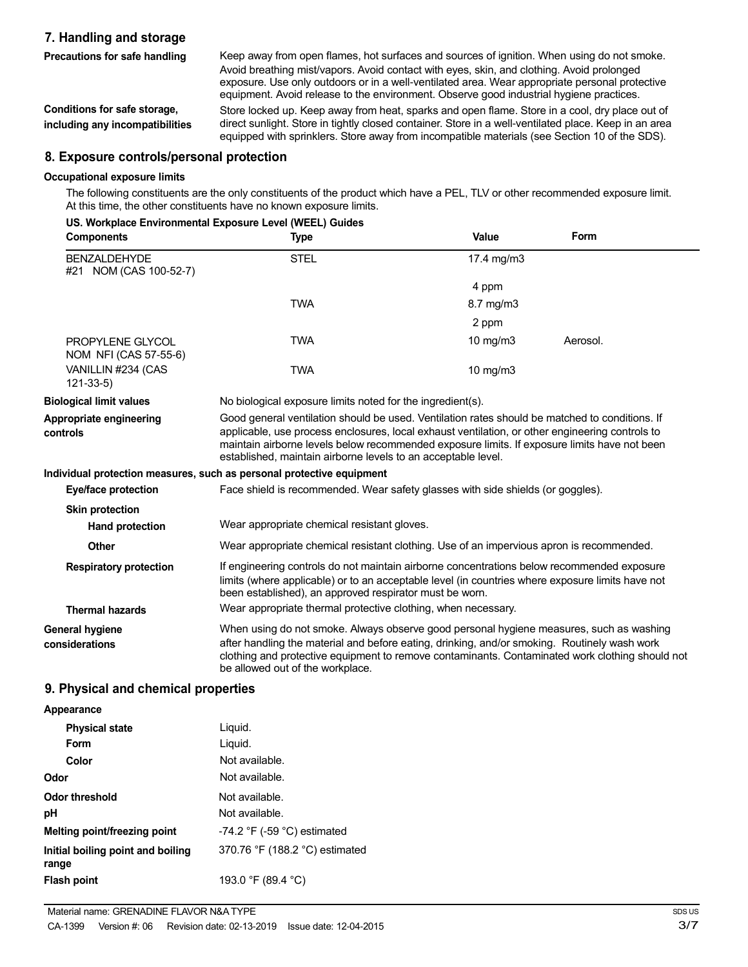### **7. Handling and storage**

**Precautions for safe handling**

**Conditions for safe storage, including any incompatibilities** Keep away from open flames, hot surfaces and sources of ignition. When using do not smoke. Avoid breathing mist/vapors. Avoid contact with eyes, skin, and clothing. Avoid prolonged exposure. Use only outdoors or in a well-ventilated area. Wear appropriate personal protective equipment. Avoid release to the environment. Observe good industrial hygiene practices. Store locked up. Keep away from heat, sparks and open flame. Store in a cool, dry place out of

direct sunlight. Store in tightly closed container. Store in a well-ventilated place. Keep in an area equipped with sprinklers. Store away from incompatible materials (see Section 10 of the SDS).

#### **8. Exposure controls/personal protection**

#### **Occupational exposure limits**

The following constituents are the only constituents of the product which have a PEL, TLV or other recommended exposure limit. At this time, the other constituents have no known exposure limits.

#### **US. Workplace Environmental Exposure Level (WEEL) Guides**

| <b>Components</b>                             | <b>Type</b>                                                                                                                                                                                                                                                                                                                                                        | Value         | Form     |
|-----------------------------------------------|--------------------------------------------------------------------------------------------------------------------------------------------------------------------------------------------------------------------------------------------------------------------------------------------------------------------------------------------------------------------|---------------|----------|
| <b>BENZALDEHYDE</b><br>#21 NOM (CAS 100-52-7) | <b>STEL</b>                                                                                                                                                                                                                                                                                                                                                        | 17.4 mg/m3    |          |
|                                               |                                                                                                                                                                                                                                                                                                                                                                    | 4 ppm         |          |
|                                               | <b>TWA</b>                                                                                                                                                                                                                                                                                                                                                         | 8.7 mg/m3     |          |
|                                               |                                                                                                                                                                                                                                                                                                                                                                    | 2 ppm         |          |
| PROPYLENE GLYCOL<br>NOM NFI (CAS 57-55-6)     | <b>TWA</b>                                                                                                                                                                                                                                                                                                                                                         | $10$ mg/m $3$ | Aerosol. |
| VANILLIN #234 (CAS<br>$121 - 33 - 5$          | <b>TWA</b>                                                                                                                                                                                                                                                                                                                                                         | 10 mg/m3      |          |
| <b>Biological limit values</b>                | No biological exposure limits noted for the ingredient(s).                                                                                                                                                                                                                                                                                                         |               |          |
| Appropriate engineering<br>controls           | Good general ventilation should be used. Ventilation rates should be matched to conditions. If<br>applicable, use process enclosures, local exhaust ventilation, or other engineering controls to<br>maintain airborne levels below recommended exposure limits. If exposure limits have not been<br>established, maintain airborne levels to an acceptable level. |               |          |
|                                               | Individual protection measures, such as personal protective equipment                                                                                                                                                                                                                                                                                              |               |          |
| Eye/face protection                           | Face shield is recommended. Wear safety glasses with side shields (or goggles).                                                                                                                                                                                                                                                                                    |               |          |
| <b>Skin protection</b>                        |                                                                                                                                                                                                                                                                                                                                                                    |               |          |
| Hand protection                               | Wear appropriate chemical resistant gloves.                                                                                                                                                                                                                                                                                                                        |               |          |
| <b>Other</b>                                  | Wear appropriate chemical resistant clothing. Use of an impervious apron is recommended.                                                                                                                                                                                                                                                                           |               |          |
| <b>Respiratory protection</b>                 | If engineering controls do not maintain airborne concentrations below recommended exposure<br>limits (where applicable) or to an acceptable level (in countries where exposure limits have not<br>been established), an approved respirator must be worn.<br>Wear appropriate thermal protective clothing, when necessary.                                         |               |          |
| <b>Thermal hazards</b>                        |                                                                                                                                                                                                                                                                                                                                                                    |               |          |
| General hygiene<br>considerations             | When using do not smoke. Always observe good personal hygiene measures, such as washing<br>after handling the material and before eating, drinking, and/or smoking. Routinely wash work<br>clothing and protective equipment to remove contaminants. Contaminated work clothing should not<br>be allowed out of the workplace.                                     |               |          |

### **9. Physical and chemical properties**

#### **Appearance**

| <b>Physical state</b>                      | Liguid.                          |
|--------------------------------------------|----------------------------------|
| Form                                       | Liguid.                          |
| Color                                      | Not available.                   |
| Odor                                       | Not available.                   |
| <b>Odor threshold</b>                      | Not available.                   |
| рH                                         | Not available.                   |
| Melting point/freezing point               | $-74.2$ °F ( $-59$ °C) estimated |
| Initial boiling point and boiling<br>range | 370.76 °F (188.2 °C) estimated   |
| Flash point                                | 193.0 °F (89.4 °C)               |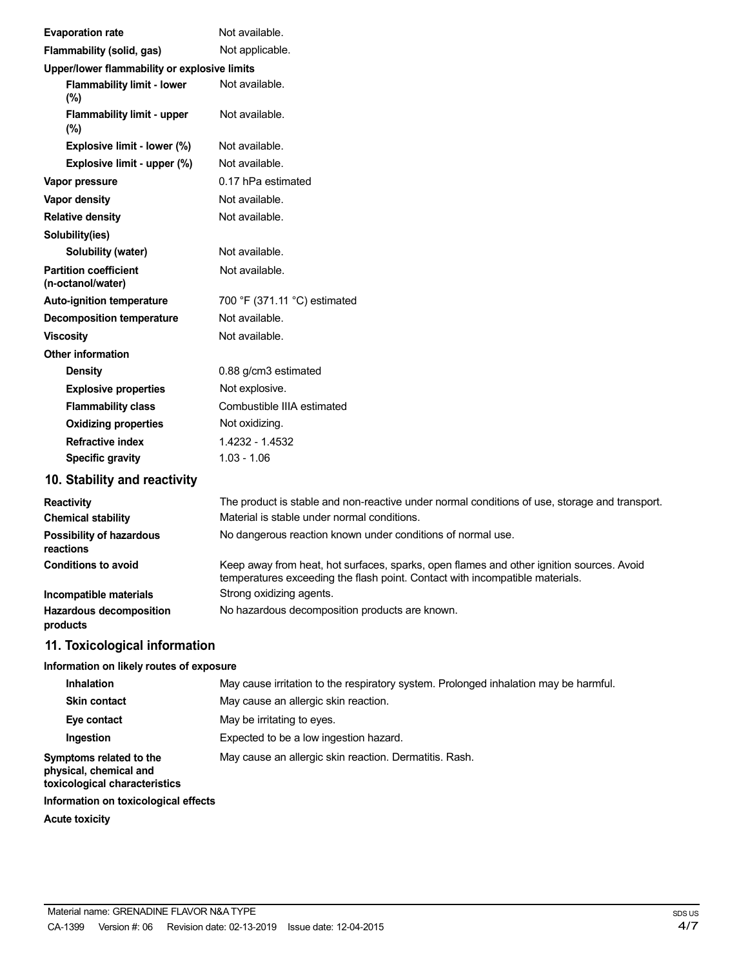| <b>Evaporation rate</b>                           | Not available.                                                                                                                                                           |
|---------------------------------------------------|--------------------------------------------------------------------------------------------------------------------------------------------------------------------------|
| Flammability (solid, gas)                         | Not applicable.                                                                                                                                                          |
| Upper/lower flammability or explosive limits      |                                                                                                                                                                          |
| <b>Flammability limit - lower</b><br>(%)          | Not available.                                                                                                                                                           |
| <b>Flammability limit - upper</b><br>(%)          | Not available.                                                                                                                                                           |
| Explosive limit - lower (%)                       | Not available.                                                                                                                                                           |
| Explosive limit - upper (%)                       | Not available.                                                                                                                                                           |
| Vapor pressure                                    | 0.17 hPa estimated                                                                                                                                                       |
| Vapor density                                     | Not available.                                                                                                                                                           |
| <b>Relative density</b>                           | Not available.                                                                                                                                                           |
| Solubility(ies)                                   |                                                                                                                                                                          |
| Solubility (water)                                | Not available.                                                                                                                                                           |
| <b>Partition coefficient</b><br>(n-octanol/water) | Not available.                                                                                                                                                           |
| Auto-ignition temperature                         | 700 °F (371.11 °C) estimated                                                                                                                                             |
| <b>Decomposition temperature</b>                  | Not available.                                                                                                                                                           |
| <b>Viscosity</b>                                  | Not available.                                                                                                                                                           |
| <b>Other information</b>                          |                                                                                                                                                                          |
| <b>Density</b>                                    | 0.88 g/cm3 estimated                                                                                                                                                     |
| <b>Explosive properties</b>                       | Not explosive.                                                                                                                                                           |
| <b>Flammability class</b>                         | Combustible IIIA estimated                                                                                                                                               |
| <b>Oxidizing properties</b>                       | Not oxidizing.                                                                                                                                                           |
| <b>Refractive index</b>                           | 1.4232 - 1.4532                                                                                                                                                          |
| <b>Specific gravity</b>                           | $1.03 - 1.06$                                                                                                                                                            |
| 10. Stability and reactivity                      |                                                                                                                                                                          |
| <b>Reactivity</b>                                 | The product is stable and non-reactive under normal conditions of use, storage and transport.                                                                            |
| <b>Chemical stability</b>                         | Material is stable under normal conditions.                                                                                                                              |
| <b>Possibility of hazardous</b><br>reactions      | No dangerous reaction known under conditions of normal use.                                                                                                              |
| <b>Conditions to avoid</b>                        | Keep away from heat, hot surfaces, sparks, open flames and other ignition sources. Avoid<br>temperatures exceeding the flash point. Contact with incompatible materials. |
| Incompatible materials                            | Strong oxidizing agents.                                                                                                                                                 |
| <b>Hazardous decomposition</b><br>products        | No hazardous decomposition products are known.                                                                                                                           |

# **11. Toxicological information**

# **Information on likely routes of exposure**

| <b>Inhalation</b>                                                                  | May cause irritation to the respiratory system. Prolonged inhalation may be harmful. |
|------------------------------------------------------------------------------------|--------------------------------------------------------------------------------------|
| <b>Skin contact</b>                                                                | May cause an allergic skin reaction.                                                 |
| Eye contact                                                                        | May be irritating to eyes.                                                           |
| Ingestion                                                                          | Expected to be a low ingestion hazard.                                               |
| Symptoms related to the<br>physical, chemical and<br>toxicological characteristics | May cause an allergic skin reaction. Dermatitis. Rash.                               |
| Information on toxicological effects                                               |                                                                                      |

**Acute toxicity**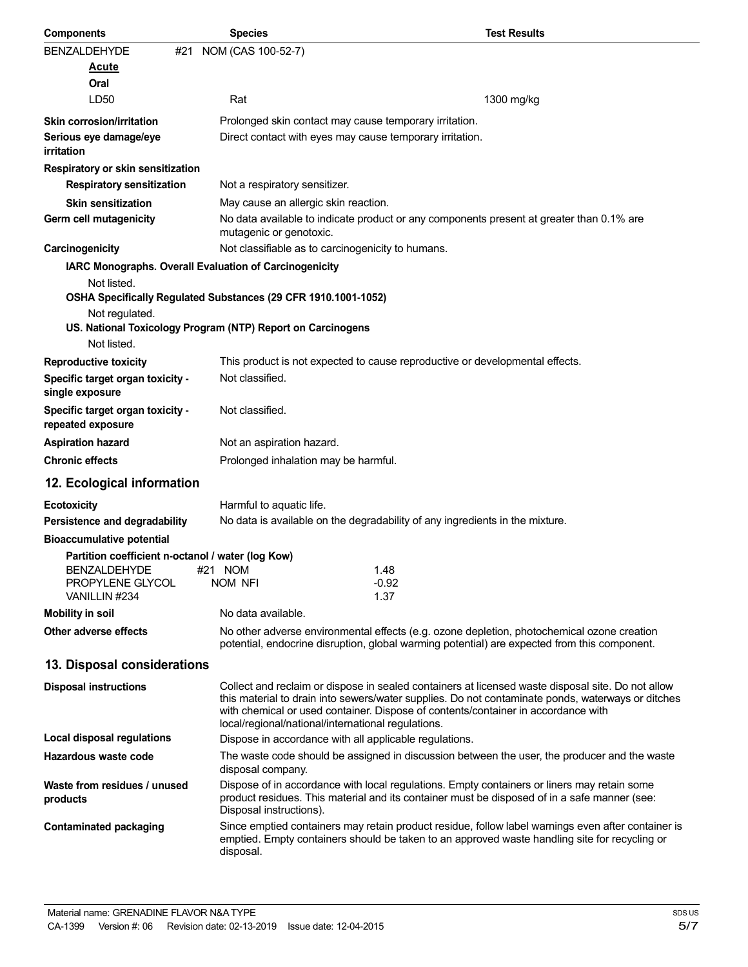| <b>Components</b>                                     | <b>Species</b>                                                 | <b>Test Results</b>                                                                                                                                                                                                                                                                         |
|-------------------------------------------------------|----------------------------------------------------------------|---------------------------------------------------------------------------------------------------------------------------------------------------------------------------------------------------------------------------------------------------------------------------------------------|
| <b>BENZALDEHYDE</b><br>#21                            | NOM (CAS 100-52-7)                                             |                                                                                                                                                                                                                                                                                             |
| Acute                                                 |                                                                |                                                                                                                                                                                                                                                                                             |
| Oral                                                  |                                                                |                                                                                                                                                                                                                                                                                             |
| LD <sub>50</sub>                                      | Rat                                                            | 1300 mg/kg                                                                                                                                                                                                                                                                                  |
| <b>Skin corrosion/irritation</b>                      | Prolonged skin contact may cause temporary irritation.         |                                                                                                                                                                                                                                                                                             |
| Serious eye damage/eye<br>irritation                  |                                                                | Direct contact with eyes may cause temporary irritation.                                                                                                                                                                                                                                    |
| Respiratory or skin sensitization                     |                                                                |                                                                                                                                                                                                                                                                                             |
| <b>Respiratory sensitization</b>                      | Not a respiratory sensitizer.                                  |                                                                                                                                                                                                                                                                                             |
| <b>Skin sensitization</b>                             | May cause an allergic skin reaction.                           |                                                                                                                                                                                                                                                                                             |
| Germ cell mutagenicity                                | mutagenic or genotoxic.                                        | No data available to indicate product or any components present at greater than 0.1% are                                                                                                                                                                                                    |
| Carcinogenicity                                       | Not classifiable as to carcinogenicity to humans.              |                                                                                                                                                                                                                                                                                             |
|                                                       | IARC Monographs. Overall Evaluation of Carcinogenicity         |                                                                                                                                                                                                                                                                                             |
| Not listed.                                           |                                                                |                                                                                                                                                                                                                                                                                             |
|                                                       | OSHA Specifically Regulated Substances (29 CFR 1910.1001-1052) |                                                                                                                                                                                                                                                                                             |
| Not regulated.                                        | US. National Toxicology Program (NTP) Report on Carcinogens    |                                                                                                                                                                                                                                                                                             |
| Not listed.                                           |                                                                |                                                                                                                                                                                                                                                                                             |
| <b>Reproductive toxicity</b>                          |                                                                | This product is not expected to cause reproductive or developmental effects.                                                                                                                                                                                                                |
| Specific target organ toxicity -<br>single exposure   | Not classified.                                                |                                                                                                                                                                                                                                                                                             |
| Specific target organ toxicity -<br>repeated exposure | Not classified.                                                |                                                                                                                                                                                                                                                                                             |
| <b>Aspiration hazard</b>                              | Not an aspiration hazard.                                      |                                                                                                                                                                                                                                                                                             |
| <b>Chronic effects</b>                                | Prolonged inhalation may be harmful.                           |                                                                                                                                                                                                                                                                                             |
| 12. Ecological information                            |                                                                |                                                                                                                                                                                                                                                                                             |
| <b>Ecotoxicity</b>                                    | Harmful to aquatic life.                                       |                                                                                                                                                                                                                                                                                             |
| Persistence and degradability                         |                                                                | No data is available on the degradability of any ingredients in the mixture.                                                                                                                                                                                                                |
| <b>Bioaccumulative potential</b>                      |                                                                |                                                                                                                                                                                                                                                                                             |
| Partition coefficient n-octanol / water (log Kow)     |                                                                |                                                                                                                                                                                                                                                                                             |
| BENZALDEHYDE                                          | #21 NOM                                                        | 1.48                                                                                                                                                                                                                                                                                        |
| PROPYLENE GLYCOL<br>VANILLIN #234                     | NOM NFI                                                        | $-0.92$<br>1.37                                                                                                                                                                                                                                                                             |
| <b>Mobility in soil</b>                               | No data available.                                             |                                                                                                                                                                                                                                                                                             |
| Other adverse effects                                 |                                                                | No other adverse environmental effects (e.g. ozone depletion, photochemical ozone creation<br>potential, endocrine disruption, global warming potential) are expected from this component.                                                                                                  |
| 13. Disposal considerations                           |                                                                |                                                                                                                                                                                                                                                                                             |
| <b>Disposal instructions</b>                          | local/regional/national/international regulations.             | Collect and reclaim or dispose in sealed containers at licensed waste disposal site. Do not allow<br>this material to drain into sewers/water supplies. Do not contaminate ponds, waterways or ditches<br>with chemical or used container. Dispose of contents/container in accordance with |
| <b>Local disposal regulations</b>                     | Dispose in accordance with all applicable regulations.         |                                                                                                                                                                                                                                                                                             |
| Hazardous waste code                                  | disposal company.                                              | The waste code should be assigned in discussion between the user, the producer and the waste                                                                                                                                                                                                |
| Waste from residues / unused<br>products              | Disposal instructions).                                        | Dispose of in accordance with local regulations. Empty containers or liners may retain some<br>product residues. This material and its container must be disposed of in a safe manner (see:                                                                                                 |
| <b>Contaminated packaging</b>                         | disposal.                                                      | Since emptied containers may retain product residue, follow label warnings even after container is<br>emptied. Empty containers should be taken to an approved waste handling site for recycling or                                                                                         |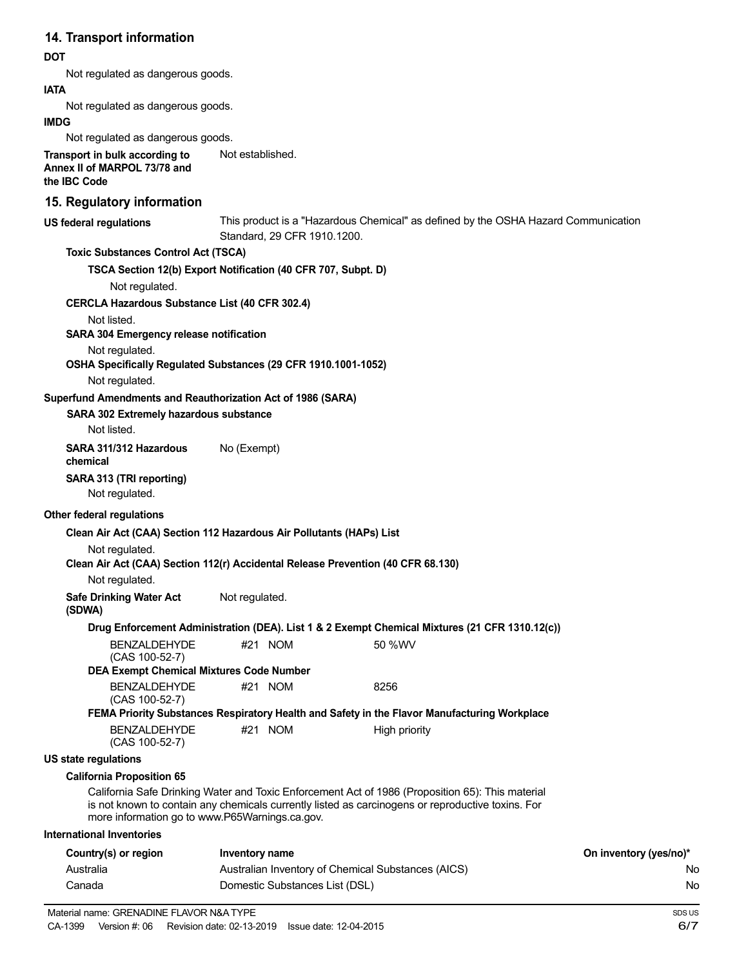# **14. Transport information**

#### **DOT**

Not regulated as dangerous goods.

**IATA**

Not regulated as dangerous goods.

#### **IMDG**

Not regulated as dangerous goods.

**Transport in bulk according to Annex II of MARPOL 73/78 and the IBC Code** Not established.

### **15. Regulatory information**

| וט. ולקטומנטו y ווווטוווומנוטוו                                                  |                                                    |                                                                                                                                                                                                       |                        |
|----------------------------------------------------------------------------------|----------------------------------------------------|-------------------------------------------------------------------------------------------------------------------------------------------------------------------------------------------------------|------------------------|
| US federal regulations                                                           |                                                    | This product is a "Hazardous Chemical" as defined by the OSHA Hazard Communication<br>Standard, 29 CFR 1910.1200.                                                                                     |                        |
| <b>Toxic Substances Control Act (TSCA)</b>                                       |                                                    |                                                                                                                                                                                                       |                        |
| TSCA Section 12(b) Export Notification (40 CFR 707, Subpt. D)                    |                                                    |                                                                                                                                                                                                       |                        |
| Not regulated.                                                                   |                                                    |                                                                                                                                                                                                       |                        |
| <b>CERCLA Hazardous Substance List (40 CFR 302.4)</b>                            |                                                    |                                                                                                                                                                                                       |                        |
| Not listed.                                                                      |                                                    |                                                                                                                                                                                                       |                        |
| SARA 304 Emergency release notification                                          |                                                    |                                                                                                                                                                                                       |                        |
| Not regulated.                                                                   |                                                    |                                                                                                                                                                                                       |                        |
| OSHA Specifically Regulated Substances (29 CFR 1910.1001-1052)<br>Not regulated. |                                                    |                                                                                                                                                                                                       |                        |
| Superfund Amendments and Reauthorization Act of 1986 (SARA)                      |                                                    |                                                                                                                                                                                                       |                        |
| SARA 302 Extremely hazardous substance                                           |                                                    |                                                                                                                                                                                                       |                        |
| Not listed.                                                                      |                                                    |                                                                                                                                                                                                       |                        |
| SARA 311/312 Hazardous<br>chemical                                               | No (Exempt)                                        |                                                                                                                                                                                                       |                        |
| SARA 313 (TRI reporting)<br>Not regulated.                                       |                                                    |                                                                                                                                                                                                       |                        |
| <b>Other federal regulations</b>                                                 |                                                    |                                                                                                                                                                                                       |                        |
| Clean Air Act (CAA) Section 112 Hazardous Air Pollutants (HAPs) List             |                                                    |                                                                                                                                                                                                       |                        |
| Not regulated.                                                                   |                                                    |                                                                                                                                                                                                       |                        |
|                                                                                  |                                                    | Clean Air Act (CAA) Section 112(r) Accidental Release Prevention (40 CFR 68.130)                                                                                                                      |                        |
| Not regulated.                                                                   |                                                    |                                                                                                                                                                                                       |                        |
| <b>Safe Drinking Water Act</b><br>(SDWA)                                         | Not regulated.                                     |                                                                                                                                                                                                       |                        |
|                                                                                  |                                                    | Drug Enforcement Administration (DEA). List 1 & 2 Exempt Chemical Mixtures (21 CFR 1310.12(c))                                                                                                        |                        |
| <b>BENZALDEHYDE</b><br>(CAS 100-52-7)                                            | #21 NOM                                            | 50 %WV                                                                                                                                                                                                |                        |
| <b>DEA Exempt Chemical Mixtures Code Number</b>                                  |                                                    |                                                                                                                                                                                                       |                        |
| <b>BENZALDEHYDE</b><br>(CAS 100-52-7)                                            | #21 NOM                                            | 8256                                                                                                                                                                                                  |                        |
|                                                                                  |                                                    | FEMA Priority Substances Respiratory Health and Safety in the Flavor Manufacturing Workplace                                                                                                          |                        |
| <b>BENZALDEHYDE</b><br>(CAS 100-52-7)                                            | #21 NOM                                            | High priority                                                                                                                                                                                         |                        |
| US state regulations                                                             |                                                    |                                                                                                                                                                                                       |                        |
| <b>California Proposition 65</b>                                                 |                                                    |                                                                                                                                                                                                       |                        |
| more information go to www.P65Warnings.ca.gov.                                   |                                                    | California Safe Drinking Water and Toxic Enforcement Act of 1986 (Proposition 65): This material<br>is not known to contain any chemicals currently listed as carcinogens or reproductive toxins. For |                        |
| <b>International Inventories</b>                                                 |                                                    |                                                                                                                                                                                                       |                        |
| Country(s) or region                                                             | <b>Inventory name</b>                              |                                                                                                                                                                                                       | On inventory (yes/no)* |
| Australia                                                                        | Australian Inventory of Chemical Substances (AICS) |                                                                                                                                                                                                       |                        |
| Canada                                                                           | Domestic Substances List (DSL)                     |                                                                                                                                                                                                       |                        |
|                                                                                  |                                                    |                                                                                                                                                                                                       |                        |

No No